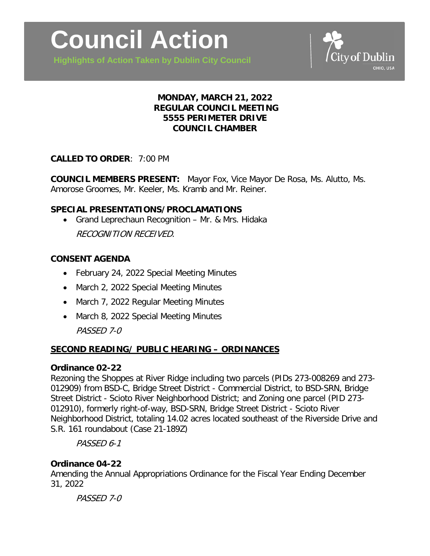**Highlights of Action Taken by Dublin City Council**



# **MONDAY, MARCH 21, 2022 REGULAR COUNCIL MEETING 5555 PERIMETER DRIVE COUNCIL CHAMBER**

## **CALLED TO ORDER**: 7:00 PM

**COUNCIL MEMBERS PRESENT:** Mayor Fox, Vice Mayor De Rosa, Ms. Alutto, Ms. Amorose Groomes, Mr. Keeler, Ms. Kramb and Mr. Reiner.

## **SPECIAL PRESENTATIONS/PROCLAMATIONS**

• Grand Leprechaun Recognition – Mr. & Mrs. Hidaka RECOGNITION RECEIVED.

# **CONSENT AGENDA**

- February 24, 2022 Special Meeting Minutes
- March 2, 2022 Special Meeting Minutes
- March 7, 2022 Regular Meeting Minutes
- March 8, 2022 Special Meeting Minutes PASSED 7-0

# **SECOND READING/ PUBLIC HEARING – ORDINANCES**

## **Ordinance 02-22**

Rezoning the Shoppes at River Ridge including two parcels (PIDs 273-008269 and 273- 012909) from BSD-C, Bridge Street District - Commercial District, to BSD-SRN, Bridge Street District - Scioto River Neighborhood District; and Zoning one parcel (PID 273- 012910), formerly right-of-way, BSD-SRN, Bridge Street District - Scioto River Neighborhood District, totaling 14.02 acres located southeast of the Riverside Drive and S.R. 161 roundabout (Case 21-189Z)

PASSED 6-1

## **Ordinance 04-22**

Amending the Annual Appropriations Ordinance for the Fiscal Year Ending December 31, 2022

PASSED 7-0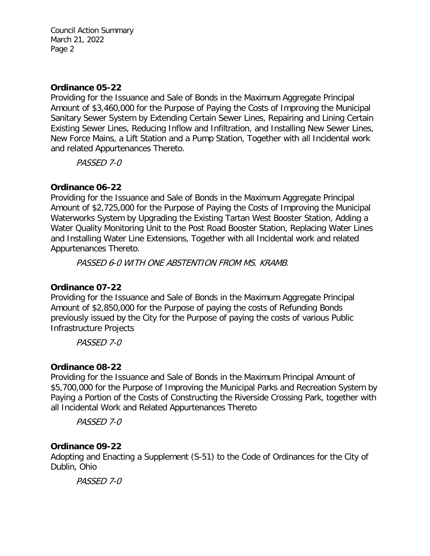### **Ordinance 05-22**

Providing for the Issuance and Sale of Bonds in the Maximum Aggregate Principal Amount of \$3,460,000 for the Purpose of Paying the Costs of Improving the Municipal Sanitary Sewer System by Extending Certain Sewer Lines, Repairing and Lining Certain Existing Sewer Lines, Reducing Inflow and Infiltration, and Installing New Sewer Lines, New Force Mains, a Lift Station and a Pump Station, Together with all Incidental work and related Appurtenances Thereto.

PASSED 7-0

## **Ordinance 06-22**

Providing for the Issuance and Sale of Bonds in the Maximum Aggregate Principal Amount of \$2,725,000 for the Purpose of Paying the Costs of Improving the Municipal Waterworks System by Upgrading the Existing Tartan West Booster Station, Adding a Water Quality Monitoring Unit to the Post Road Booster Station, Replacing Water Lines and Installing Water Line Extensions, Together with all Incidental work and related Appurtenances Thereto.

PASSED 6-0 WITH ONE ABSTENTION FROM MS. KRAMB.

## **Ordinance 07-22**

Providing for the Issuance and Sale of Bonds in the Maximum Aggregate Principal Amount of \$2,850,000 for the Purpose of paying the costs of Refunding Bonds previously issued by the City for the Purpose of paying the costs of various Public Infrastructure Projects

PASSED 7-0

## **Ordinance 08-22**

Providing for the Issuance and Sale of Bonds in the Maximum Principal Amount of \$5,700,000 for the Purpose of Improving the Municipal Parks and Recreation System by Paying a Portion of the Costs of Constructing the Riverside Crossing Park, together with all Incidental Work and Related Appurtenances Thereto

PASSED 7-0

## **Ordinance 09-22**

Adopting and Enacting a Supplement (S-51) to the Code of Ordinances for the City of Dublin, Ohio

PASSED 7-0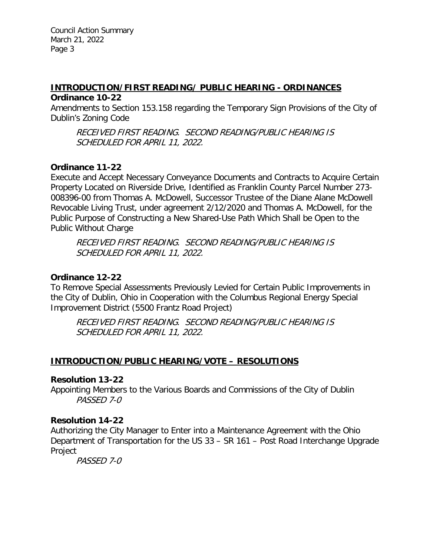## **INTRODUCTION/FIRST READING/ PUBLIC HEARING - ORDINANCES Ordinance 10-22**

Amendments to Section 153.158 regarding the Temporary Sign Provisions of the City of Dublin's Zoning Code

RECEIVED FIRST READING. SECOND READING/PUBLIC HEARING IS SCHEDULED FOR APRIL 11, 2022.

## **Ordinance 11-22**

Execute and Accept Necessary Conveyance Documents and Contracts to Acquire Certain Property Located on Riverside Drive, Identified as Franklin County Parcel Number 273- 008396-00 from Thomas A. McDowell, Successor Trustee of the Diane Alane McDowell Revocable Living Trust, under agreement 2/12/2020 and Thomas A. McDowell, for the Public Purpose of Constructing a New Shared-Use Path Which Shall be Open to the Public Without Charge

RECEIVED FIRST READING. SECOND READING/PUBLIC HEARING IS SCHEDULED FOR APRIL 11, 2022.

# **Ordinance 12-22**

To Remove Special Assessments Previously Levied for Certain Public Improvements in the City of Dublin, Ohio in Cooperation with the Columbus Regional Energy Special Improvement District (5500 Frantz Road Project)

RECEIVED FIRST READING. SECOND READING/PUBLIC HEARING IS SCHEDULED FOR APRIL 11, 2022.

# **INTRODUCTION/PUBLIC HEARING/VOTE – RESOLUTIONS**

## **Resolution 13-22**

Appointing Members to the Various Boards and Commissions of the City of Dublin PASSED 7-0

## **Resolution 14-22**

Authorizing the City Manager to Enter into a Maintenance Agreement with the Ohio Department of Transportation for the US 33 – SR 161 – Post Road Interchange Upgrade Project

PASSED 7-0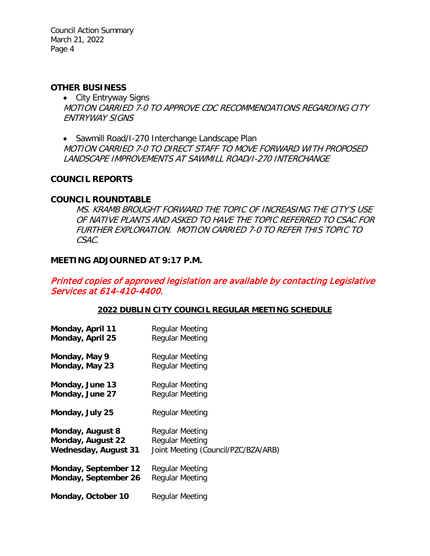#### **OTHER BUSINESS**

• City Entryway Signs MOTION CARRIED 7-0 TO APPROVE CDC RECOMMENDATIONS REGARDING CITY ENTRYWAY SIGNS

• Sawmill Road/I-270 Interchange Landscape Plan MOTION CARRIED 7-0 TO DIRECT STAFF TO MOVE FORWARD WITH PROPOSED LANDSCAPE IMPROVEMENTS AT SAWMILL ROAD/I-270 INTERCHANGE

### **COUNCIL REPORTS**

### **COUNCIL ROUNDTABLE**

MS. KRAMB BROUGHT FORWARD THE TOPIC OF INCREASING THE CITY'S USE OF NATIVE PLANTS AND ASKED TO HAVE THE TOPIC REFERRED TO CSAC FOR FURTHER EXPLORATION. MOTION CARRIED 7-0 TO REFER THIS TOPIC TO CSAC.

### **MEETING ADJOURNED AT 9:17 P.M.**

Printed copies of approved legislation are available by contacting Legislative Services at 614-410-4400.

#### **2022 DUBLIN CITY COUNCIL REGULAR MEETING SCHEDULE**

| Monday, April 11            | <b>Regular Meeting</b>              |
|-----------------------------|-------------------------------------|
| Monday, April 25            | Regular Meeting                     |
| Monday, May 9               | Regular Meeting                     |
| Monday, May 23              | <b>Regular Meeting</b>              |
| Monday, June 13             | <b>Regular Meeting</b>              |
| Monday, June 27             | Regular Meeting                     |
| Monday, July 25             | Regular Meeting                     |
| Monday, August 8            | Regular Meeting                     |
| Monday, August 22           | <b>Regular Meeting</b>              |
| <b>Wednesday, August 31</b> | Joint Meeting (Council/PZC/BZA/ARB) |
| Monday, September 12        | Regular Meeting                     |
| Monday, September 26        | Regular Meeting                     |
| Monday, October 10          | Regular Meeting                     |